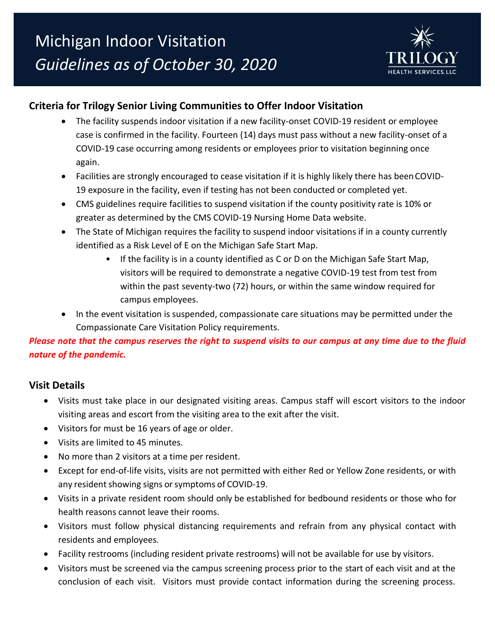

# **Criteria for Trilogy Senior Living Communities to Offer Indoor Visitation**

- The facility suspends indoor visitation if a new facility-onset COVID-19 resident or employee case is confirmed in the facility. Fourteen (14) days must pass without a new facility-onset of a COVID-19 case occurring among residents or employees prior to visitation beginning once again.
- Facilities are strongly encouraged to cease visitation if it is highly likely there has beenCOVID-19 exposure in the facility, even if testing has not been conducted or completed yet.
- CMS guidelines require facilities to suspend visitation if the county positivity rate is 10% or greater as determined by the CMS COVID-19 Nursing Home Data website.
- The State of Michigan requires the facility to suspend indoor visitations if in a county currently identified as a Risk Level of E on the Michigan Safe Start Map.
	- If the facility is in a county identified as C or D on the Michigan Safe Start Map, visitors will be required to demonstrate a negative COVID-19 test from test from within the past seventy-two (72) hours, or within the same window required for campus employees.
- In the event visitation is suspended, compassionate care situations may be permitted under the Compassionate Care Visitation Policy requirements.

### *Please note that the campus reserves the right to suspend visits to our campus at any time due to the fluid nature of the pandemic.*

#### **Visit Details**

- Visits must take place in our designated visiting areas. Campus staff will escort visitors to the indoor visiting areas and escort from the visiting area to the exit after the visit.
- Visitors for must be 16 years of age or older.
- Visits are limited to 45 minutes.
- No more than 2 visitors at a time per resident.
- Except for end-of-life visits, visits are not permitted with either Red or Yellow Zone residents, or with any resident showing signs or symptoms of COVID-19.
- Visits in a private resident room should only be established for bedbound residents or those who for health reasons cannot leave their rooms.
- Visitors must follow physical distancing requirements and refrain from any physical contact with residents and employees.
- Facility restrooms (including resident private restrooms) will not be available for use by visitors.
- Visitors must be screened via the campus screening process prior to the start of each visit and at the conclusion of each visit. Visitors must provide contact information during the screening process.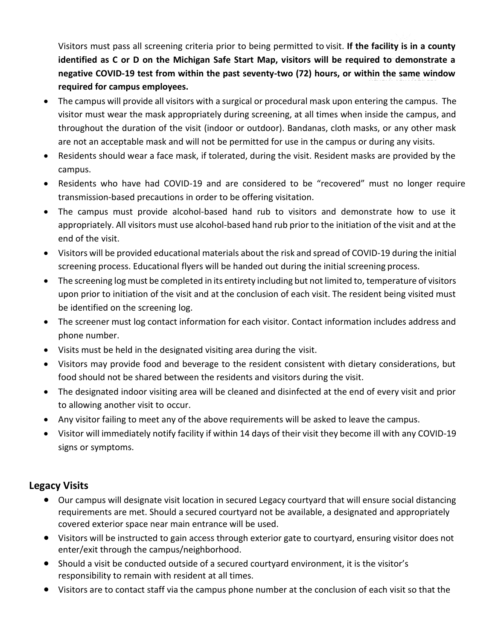Visitors must pass all screening criteria prior to being permitted to visit. **If the facility is in a county identified as C or D on the Michigan Safe Start Map, visitors will be required to demonstrate a negative COVID-19 test from within the past seventy-two (72) hours, or within the same window required for campus employees.**

- The campus will provide all visitors with a surgical or procedural mask upon entering the campus. The visitor must wear the mask appropriately during screening, at all times when inside the campus, and throughout the duration of the visit (indoor or outdoor). Bandanas, cloth masks, or any other mask are not an acceptable mask and will not be permitted for use in the campus or during any visits.
- Residents should wear a face mask, if tolerated, during the visit. Resident masks are provided by the campus.
- Residents who have had COVID-19 and are considered to be "recovered" must no longer require [transmission-based](https://www.cdc.gov/coronavirus/2019-ncov/hcp/disposition-hospitalized-patients.html) precautions in order to be offering visitation.
- The campus must provide alcohol-based hand rub to visitors and demonstrate how to use it appropriately. All visitors must use alcohol-based hand rub prior to the initiation of the visit and at the end of the visit.
- Visitors will be provided educational materials about the risk and spread of COVID-19 during the initial screening process. Educational flyers will be handed out during the initial screening process.
- The screening log must be completed in its entirety including but not limited to, temperature of visitors upon prior to initiation of the visit and at the conclusion of each visit. The resident being visited must be identified on the screening log.
- The screener must log contact information for each visitor. Contact information includes address and phone number.
- Visits must be held in the designated visiting area during the visit.
- Visitors may provide food and beverage to the resident consistent with dietary considerations, but food should not be shared between the residents and visitors during the visit.
- The designated indoor visiting area will be cleaned and disinfected at the end of every visit and prior to allowing another visit to occur.
- Any visitor failing to meet any of the above requirements will be asked to leave the campus.
- Visitor will immediately notify facility if within 14 days of their visit they become ill with any COVID-19 signs or symptoms.

## **Legacy Visits**

- Our campus will designate visit location in secured Legacy courtyard that will ensure social distancing requirements are met. Should a secured courtyard not be available, a designated and appropriately covered exterior space near main entrance will be used.
- Visitors will be instructed to gain access through exterior gate to courtyard, ensuring visitor does not enter/exit through the campus/neighborhood.
- Should a visit be conducted outside of a secured courtyard environment, it is the visitor's responsibility to remain with resident at all times.
- Visitors are to contact staff via the campus phone number at the conclusion of each visit so that the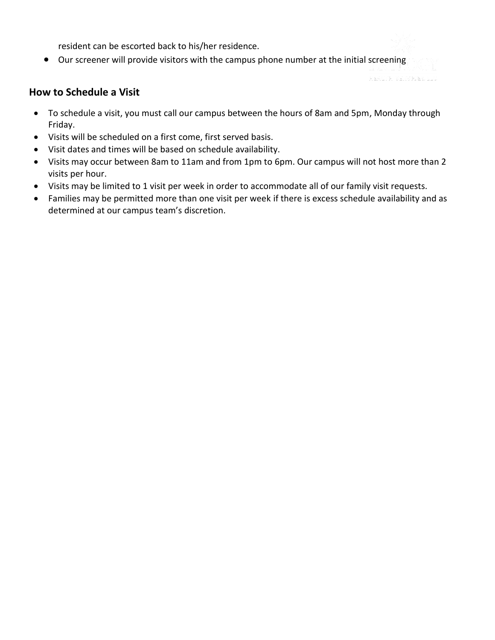resident can be escorted back to his/her residence.

• Our screener will provide visitors with the campus phone number at the initial screening

### **How to Schedule a Visit**

- To schedule a visit, you must call our campus between the hours of 8am and 5pm, Monday through Friday.
- Visits will be scheduled on a first come, first served basis.
- Visit dates and times will be based on schedule availability.
- Visits may occur between 8am to 11am and from 1pm to 6pm. Our campus will not host more than 2 visits per hour.
- Visits may be limited to 1 visit per week in order to accommodate all of our family visit requests.
- Families may be permitted more than one visit per week if there is excess schedule availability and as determined at our campus team's discretion.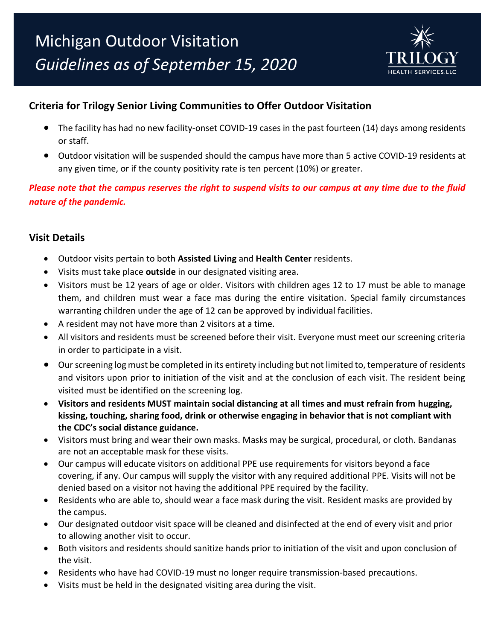

# **Criteria for Trilogy Senior Living Communities to Offer Outdoor Visitation**

- The facility has had no new facility-onset COVID-19 cases in the past fourteen (14) days among residents or staff.
- Outdoor visitation will be suspended should the campus have more than 5 active COVID-19 residents at any given time, or if the county positivity rate is ten percent (10%) or greater.

*Please note that the campus reserves the right to suspend visits to our campus at any time due to the fluid nature of the pandemic.*

#### **Visit Details**

- Outdoor visits pertain to both **Assisted Living** and **Health Center** residents.
- Visits must take place **outside** in our designated visiting area.
- Visitors must be 12 years of age or older. Visitors with children ages 12 to 17 must be able to manage them, and children must wear a face mas during the entire visitation. Special family circumstances warranting children under the age of 12 can be approved by individual facilities.
- A resident may not have more than 2 visitors at a time.
- All visitors and residents must be screened before their visit. Everyone must meet our screening criteria in order to participate in a visit.
- Ourscreening log must be completed in its entirety including but not limited to, temperature of residents and visitors upon prior to initiation of the visit and at the conclusion of each visit. The resident being visited must be identified on the screening log.
- **Visitors and residents MUST maintain social distancing at all times and must refrain from hugging, kissing, touching, sharing food, drink or otherwise engaging in behavior that is not compliant with the CDC's social distance guidance.**
- Visitors must bring and wear their own masks. Masks may be surgical, procedural, or cloth. Bandanas are not an acceptable mask for these visits.
- Our campus will educate visitors on additional PPE use requirements for visitors beyond a face covering, if any. Our campus will supply the visitor with any required additional PPE. Visits will not be denied based on a visitor not having the additional PPE required by the facility.
- Residents who are able to, should wear a face mask during the visit. Resident masks are provided by the campus.
- Our designated outdoor visit space will be cleaned and disinfected at the end of every visit and prior to allowing another visit to occur.
- Both visitors and residents should sanitize hands prior to initiation of the visit and upon conclusion of the visit.
- Residents who have had COVID-19 must no longer require transmission-based precautions.
- Visits must be held in the designated visiting area during the visit.